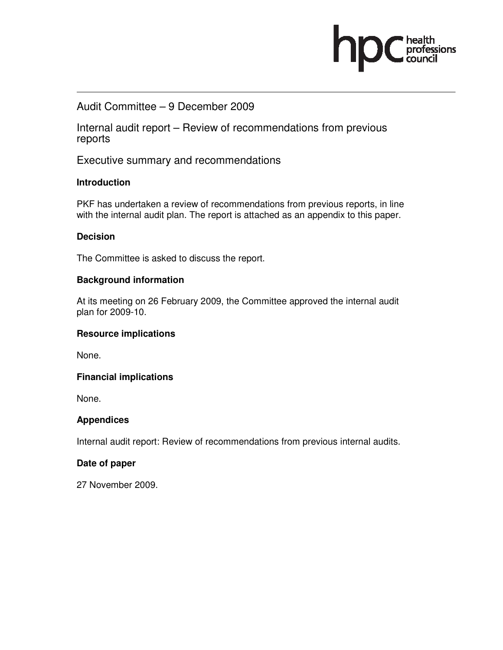### Audit Committee – 9 December 2009

Internal audit report – Review of recommendations from previous reports

ofessions

Executive summary and recommendations

### **Introduction**

PKF has undertaken a review of recommendations from previous reports, in line with the internal audit plan. The report is attached as an appendix to this paper.

### **Decision**

The Committee is asked to discuss the report.

### **Background information**

At its meeting on 26 February 2009, the Committee approved the internal audit plan for 2009-10.

### **Resource implications**

None.

### **Financial implications**

None.

### **Appendices**

Internal audit report: Review of recommendations from previous internal audits.

### **Date of paper**

27 November 2009.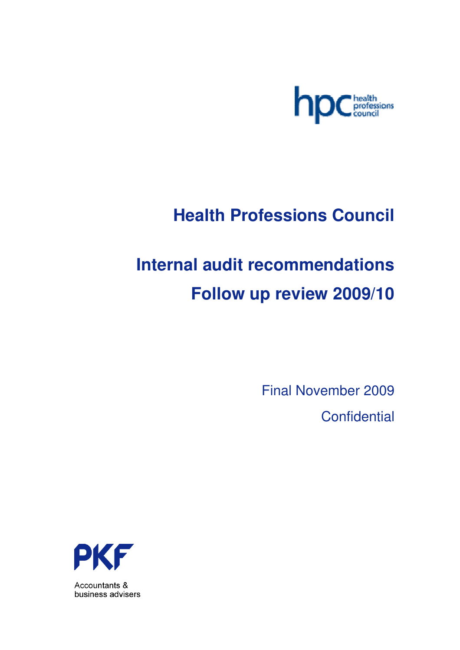

## **Health Professions Council**

# **Internal audit recommendations Follow up review 2009/10**

Final November 2009 **Confidential** 



Accountants & business advisers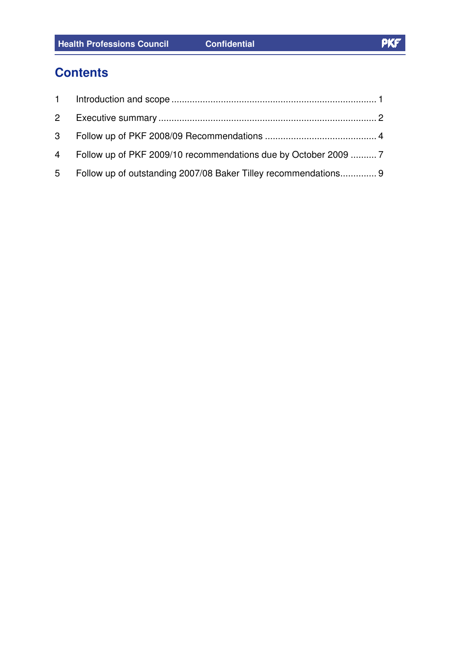### **Contents**

| 4 Follow up of PKF 2009/10 recommendations due by October 2009  7 |  |
|-------------------------------------------------------------------|--|
| 5 Follow up of outstanding 2007/08 Baker Tilley recommendations 9 |  |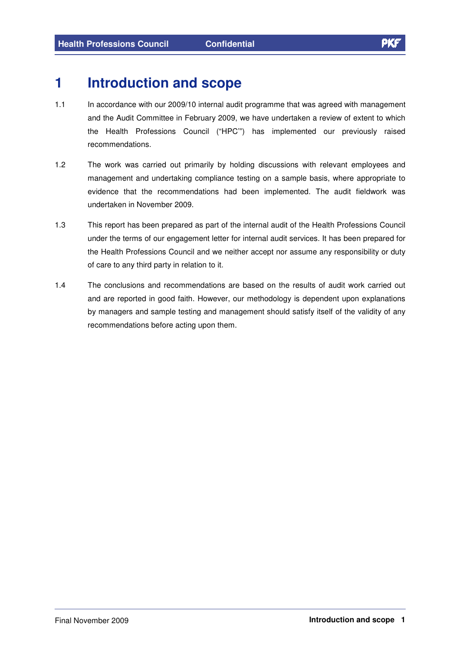### **1 Introduction and scope**

- 1.1 In accordance with our 2009/10 internal audit programme that was agreed with management and the Audit Committee in February 2009, we have undertaken a review of extent to which the Health Professions Council ("HPC'") has implemented our previously raised recommendations.
- 1.2 The work was carried out primarily by holding discussions with relevant employees and management and undertaking compliance testing on a sample basis, where appropriate to evidence that the recommendations had been implemented. The audit fieldwork was undertaken in November 2009.
- 1.3 This report has been prepared as part of the internal audit of the Health Professions Council under the terms of our engagement letter for internal audit services. It has been prepared for the Health Professions Council and we neither accept nor assume any responsibility or duty of care to any third party in relation to it.
- 1.4 The conclusions and recommendations are based on the results of audit work carried out and are reported in good faith. However, our methodology is dependent upon explanations by managers and sample testing and management should satisfy itself of the validity of any recommendations before acting upon them.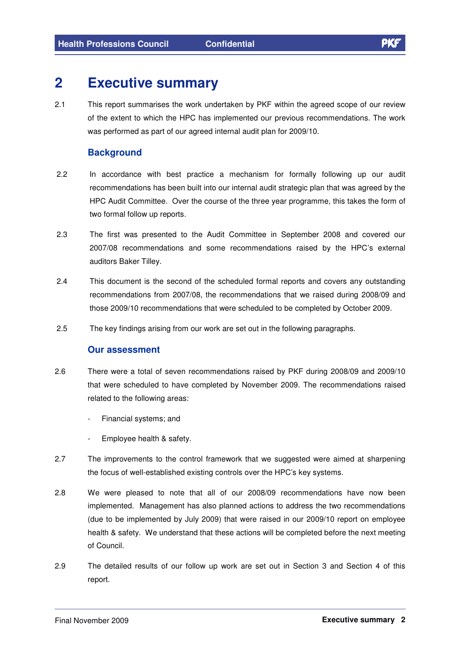### **2 Executive summary**

2.1 This report summarises the work undertaken by PKF within the agreed scope of our review of the extent to which the HPC has implemented our previous recommendations. The work was performed as part of our agreed internal audit plan for 2009/10.

### **Background**

- 2.2 In accordance with best practice a mechanism for formally following up our audit recommendations has been built into our internal audit strategic plan that was agreed by the HPC Audit Committee. Over the course of the three year programme, this takes the form of two formal follow up reports.
- 2.3 The first was presented to the Audit Committee in September 2008 and covered our 2007/08 recommendations and some recommendations raised by the HPC's external auditors Baker Tilley.
- 2.4 This document is the second of the scheduled formal reports and covers any outstanding recommendations from 2007/08, the recommendations that we raised during 2008/09 and those 2009/10 recommendations that were scheduled to be completed by October 2009.
- 2.5 The key findings arising from our work are set out in the following paragraphs.

### **Our assessment**

- 2.6 There were a total of seven recommendations raised by PKF during 2008/09 and 2009/10 that were scheduled to have completed by November 2009. The recommendations raised related to the following areas:
	- Financial systems; and
	- Employee health & safety.
- 2.7 The improvements to the control framework that we suggested were aimed at sharpening the focus of well-established existing controls over the HPC's key systems.
- 2.8 We were pleased to note that all of our 2008/09 recommendations have now been implemented. Management has also planned actions to address the two recommendations (due to be implemented by July 2009) that were raised in our 2009/10 report on employee health & safety. We understand that these actions will be completed before the next meeting of Council.
- 2.9 The detailed results of our follow up work are set out in Section 3 and Section 4 of this report.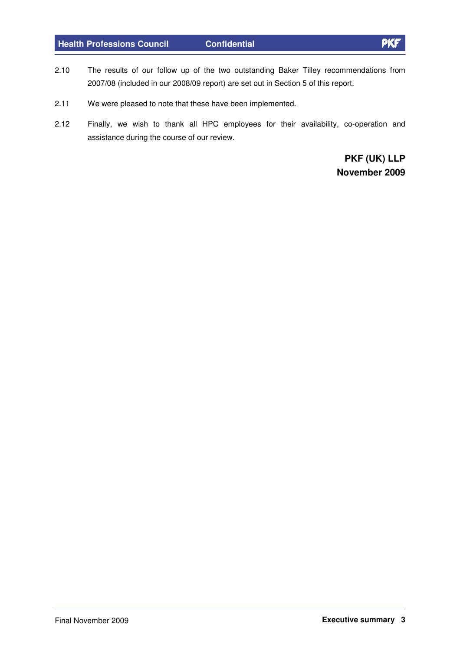### **Health Professions Council Confidential**

- 2.10 The results of our follow up of the two outstanding Baker Tilley recommendations from 2007/08 (included in our 2008/09 report) are set out in Section 5 of this report.
- 2.11 We were pleased to note that these have been implemented.
- 2.12 Finally, we wish to thank all HPC employees for their availability, co-operation and assistance during the course of our review.

**PKF (UK) LLP November 2009**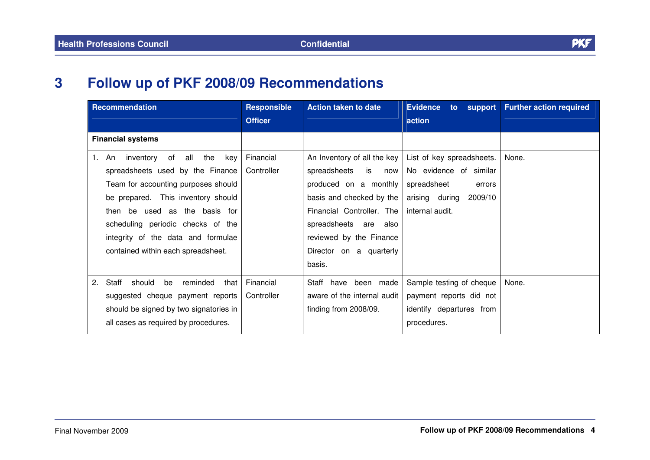#### **3Follow up of PKF 2008/09 Recommendations**

| <b>Recommendation</b>                                                                                                                                                                                                                                                                                         | <b>Responsible</b><br><b>Officer</b> | <b>Action taken to date</b>                                                                                                                                                                                                         | <b>Evidence</b><br>$\mathsf{to}$<br>action                                                                                   | support   Further action required |
|---------------------------------------------------------------------------------------------------------------------------------------------------------------------------------------------------------------------------------------------------------------------------------------------------------------|--------------------------------------|-------------------------------------------------------------------------------------------------------------------------------------------------------------------------------------------------------------------------------------|------------------------------------------------------------------------------------------------------------------------------|-----------------------------------|
| <b>Financial systems</b>                                                                                                                                                                                                                                                                                      |                                      |                                                                                                                                                                                                                                     |                                                                                                                              |                                   |
| of<br>all the<br>An inventory<br>key<br>1.<br>spreadsheets used by the Finance<br>Team for accounting purposes should<br>be prepared. This inventory should<br>then be used as the basis for<br>scheduling periodic checks of the<br>integrity of the data and formulae<br>contained within each spreadsheet. | Financial<br>Controller              | An Inventory of all the key<br>spreadsheets<br>is<br>now<br>produced on a monthly<br>basis and checked by the<br>Financial Controller. The<br>spreadsheets are also<br>reviewed by the Finance<br>Director on a quarterly<br>basis. | List of key spreadsheets.<br>No evidence of similar<br>spreadsheet<br>errors<br>arising during<br>2009/10<br>internal audit. | None.                             |
| 2.<br>Staff<br>should<br>be<br>reminded<br>that<br>suggested cheque payment reports<br>should be signed by two signatories in<br>all cases as required by procedures.                                                                                                                                         | Financial<br>Controller              | Staff have been made<br>aware of the internal audit<br>finding from 2008/09.                                                                                                                                                        | Sample testing of cheque<br>payment reports did not<br>identify departures from<br>procedures.                               | None.                             |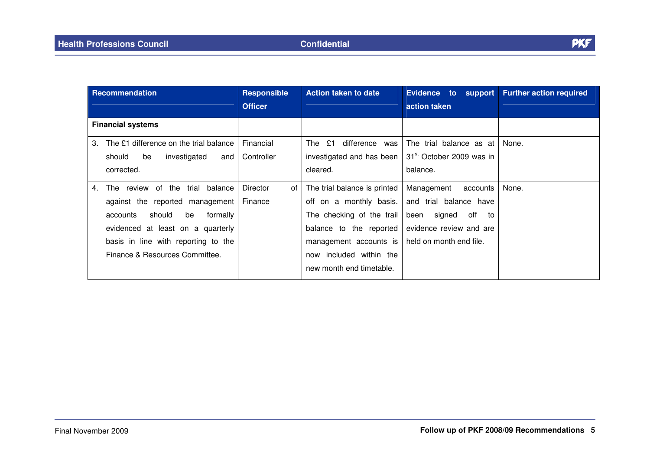| <b>Recommendation</b>                        | <b>Responsible</b><br><b>Officer</b> | <b>Action taken to date</b>  | <b>Evidence</b><br>to<br>support<br>action taken | <b>Further action required</b> |
|----------------------------------------------|--------------------------------------|------------------------------|--------------------------------------------------|--------------------------------|
| <b>Financial systems</b>                     |                                      |                              |                                                  |                                |
| The £1 difference on the trial balance<br>3. | Financial                            | The £1<br>difference<br>was  | The trial balance as at                          | None.                          |
| investigated<br>should<br>be<br>and          | Controller                           | investigated and has been    | 31 <sup>st</sup> October 2009 was in             |                                |
| corrected.                                   |                                      | cleared.                     | balance.                                         |                                |
| The review of the trial<br>balance<br>4.     | <b>Director</b><br>οf                | The trial balance is printed | Management<br>accounts                           | None.                          |
| against the reported management              | Finance                              | on a monthly basis.<br>off   | and trial balance have                           |                                |
| should<br>be<br>formally<br>accounts         |                                      | The checking of the trail    | signed<br>off<br>been<br>to                      |                                |
| evidenced at least on a quarterly            |                                      | balance to the reported      | evidence review and are                          |                                |
| basis in line with reporting to the          |                                      | management accounts is       | held on month end file.                          |                                |
| Finance & Resources Committee.               |                                      | now included within the      |                                                  |                                |
|                                              |                                      | new month end timetable.     |                                                  |                                |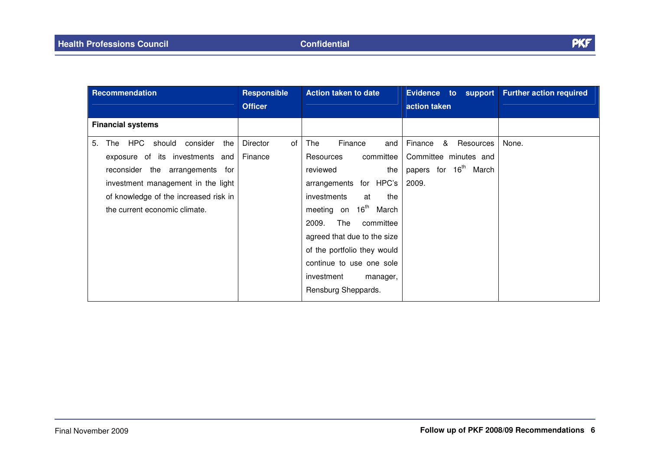| Recommendation                                                                                                                                                                                                                      | <b>Responsible</b><br><b>Officer</b> | <b>Action taken to date</b>                                                                                                                                                                                                                                                                                                           | <b>Evidence</b><br>to support<br>action taken                                                    | <b>Further action required</b> |
|-------------------------------------------------------------------------------------------------------------------------------------------------------------------------------------------------------------------------------------|--------------------------------------|---------------------------------------------------------------------------------------------------------------------------------------------------------------------------------------------------------------------------------------------------------------------------------------------------------------------------------------|--------------------------------------------------------------------------------------------------|--------------------------------|
| <b>Financial systems</b>                                                                                                                                                                                                            |                                      |                                                                                                                                                                                                                                                                                                                                       |                                                                                                  |                                |
| HPC<br>should consider<br>5.<br>the<br>The<br>exposure of its investments<br>and<br>reconsider the arrangements for<br>investment management in the light<br>of knowledge of the increased risk in<br>the current economic climate. | Director<br>0f<br>Finance            | Finance<br>The<br>and<br>committee<br>Resources<br>the<br>reviewed<br>arrangements for HPC's<br>investments<br>the<br>at<br>meeting on 16 <sup>th</sup> March<br>2009.<br>The<br>committee<br>agreed that due to the size<br>of the portfolio they would<br>continue to use one sole<br>investment<br>manager,<br>Rensburg Sheppards. | Finance<br>&<br>Resources<br>Committee minutes and<br>papers for 16 <sup>th</sup> March<br>2009. | None.                          |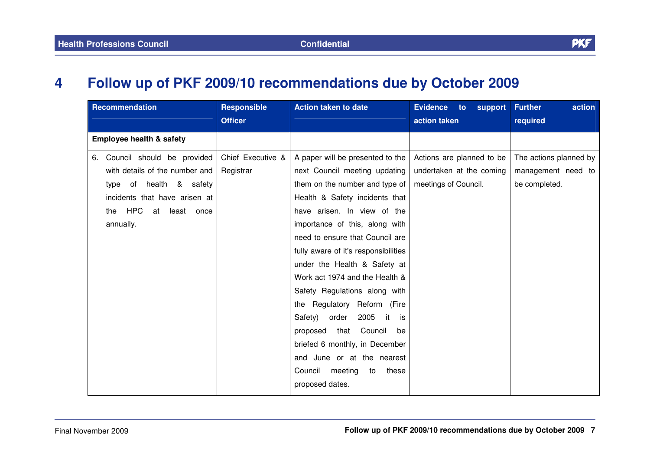#### **4Follow up of PKF 2009/10 recommendations due by October 2009**

| Recommendation                      | <b>Responsible</b> | <b>Action taken to date</b>            | <b>Evidence</b><br>to:<br>support | <b>Further</b><br>action |
|-------------------------------------|--------------------|----------------------------------------|-----------------------------------|--------------------------|
|                                     | <b>Officer</b>     |                                        | action taken                      | required                 |
| <b>Employee health &amp; safety</b> |                    |                                        |                                   |                          |
| Council should be provided<br>6.    | Chief Executive &  | A paper will be presented to the       | Actions are planned to be         | The actions planned by   |
| with details of the number and      | Registrar          | next Council meeting updating          | undertaken at the coming          | management need to       |
| health & safety<br>of<br>type       |                    | them on the number and type of         | meetings of Council.              | be completed.            |
| incidents that have arisen at       |                    | Health & Safety incidents that         |                                   |                          |
| the HPC<br>at least once            |                    | have arisen. In view of the            |                                   |                          |
| annually.                           |                    | importance of this, along with         |                                   |                          |
|                                     |                    | need to ensure that Council are        |                                   |                          |
|                                     |                    | fully aware of it's responsibilities   |                                   |                          |
|                                     |                    | under the Health & Safety at           |                                   |                          |
|                                     |                    | Work act 1974 and the Health &         |                                   |                          |
|                                     |                    | Safety Regulations along with          |                                   |                          |
|                                     |                    | the Regulatory Reform (Fire            |                                   |                          |
|                                     |                    | 2005<br>Safety)<br>order<br>it<br>is i |                                   |                          |
|                                     |                    | Council<br>proposed<br>that<br>be      |                                   |                          |
|                                     |                    | briefed 6 monthly, in December         |                                   |                          |
|                                     |                    | and June or at the nearest             |                                   |                          |
|                                     |                    | Council meeting<br>these<br>to         |                                   |                          |
|                                     |                    | proposed dates.                        |                                   |                          |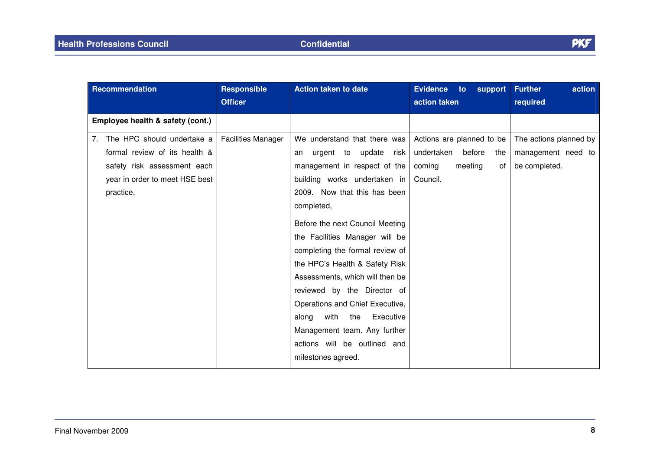| Recommendation                                                                                                                               | <b>Responsible</b>        | <b>Action taken to date</b>                                                                                                                                                                                                                                                                                                                                                                                                                                                                                                                         | <b>Evidence</b><br>support<br>to:                                                               | <b>Further</b><br>action                                      |
|----------------------------------------------------------------------------------------------------------------------------------------------|---------------------------|-----------------------------------------------------------------------------------------------------------------------------------------------------------------------------------------------------------------------------------------------------------------------------------------------------------------------------------------------------------------------------------------------------------------------------------------------------------------------------------------------------------------------------------------------------|-------------------------------------------------------------------------------------------------|---------------------------------------------------------------|
|                                                                                                                                              | <b>Officer</b>            |                                                                                                                                                                                                                                                                                                                                                                                                                                                                                                                                                     | action taken                                                                                    | required                                                      |
| Employee health & safety (cont.)                                                                                                             |                           |                                                                                                                                                                                                                                                                                                                                                                                                                                                                                                                                                     |                                                                                                 |                                                               |
| 7. The HPC should undertake a<br>formal review of its health &<br>safety risk assessment each<br>year in order to meet HSE best<br>practice. | <b>Facilities Manager</b> | We understand that there was<br>urgent to update risk<br>an<br>management in respect of the<br>building works undertaken in<br>2009. Now that this has been<br>completed,<br>Before the next Council Meeting<br>the Facilities Manager will be<br>completing the formal review of<br>the HPC's Health & Safety Risk<br>Assessments, which will then be<br>reviewed by the Director of<br>Operations and Chief Executive,<br>with<br>Executive<br>the<br>along<br>Management team. Any further<br>actions will be outlined and<br>milestones agreed. | Actions are planned to be<br>undertaken<br>before<br>the<br>meeting<br>coming<br>of<br>Council. | The actions planned by<br>management need to<br>be completed. |